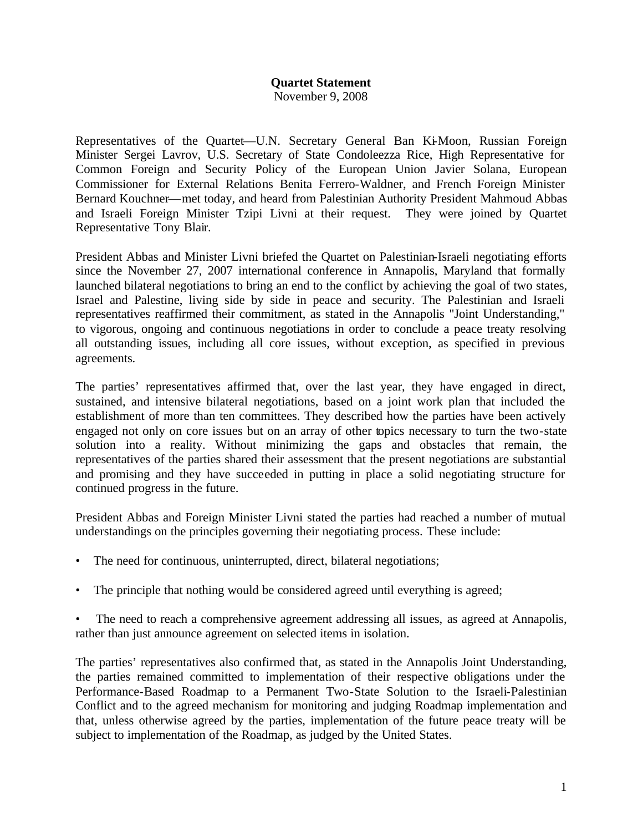## **Quartet Statement**

November 9, 2008

Representatives of the Quartet—U.N. Secretary General Ban Ki-Moon, Russian Foreign Minister Sergei Lavrov, U.S. Secretary of State Condoleezza Rice, High Representative for Common Foreign and Security Policy of the European Union Javier Solana, European Commissioner for External Relations Benita Ferrero-Waldner, and French Foreign Minister Bernard Kouchner—met today, and heard from Palestinian Authority President Mahmoud Abbas and Israeli Foreign Minister Tzipi Livni at their request. They were joined by Quartet Representative Tony Blair.

President Abbas and Minister Livni briefed the Quartet on Palestinian-Israeli negotiating efforts since the November 27, 2007 international conference in Annapolis, Maryland that formally launched bilateral negotiations to bring an end to the conflict by achieving the goal of two states, Israel and Palestine, living side by side in peace and security. The Palestinian and Israeli representatives reaffirmed their commitment, as stated in the Annapolis "Joint Understanding," to vigorous, ongoing and continuous negotiations in order to conclude a peace treaty resolving all outstanding issues, including all core issues, without exception, as specified in previous agreements.

The parties' representatives affirmed that, over the last year, they have engaged in direct, sustained, and intensive bilateral negotiations, based on a joint work plan that included the establishment of more than ten committees. They described how the parties have been actively engaged not only on core issues but on an array of other topics necessary to turn the two-state solution into a reality. Without minimizing the gaps and obstacles that remain, the representatives of the parties shared their assessment that the present negotiations are substantial and promising and they have succeeded in putting in place a solid negotiating structure for continued progress in the future.

President Abbas and Foreign Minister Livni stated the parties had reached a number of mutual understandings on the principles governing their negotiating process. These include:

- The need for continuous, uninterrupted, direct, bilateral negotiations;
- The principle that nothing would be considered agreed until everything is agreed;
- The need to reach a comprehensive agreement addressing all issues, as agreed at Annapolis, rather than just announce agreement on selected items in isolation.

The parties' representatives also confirmed that, as stated in the Annapolis Joint Understanding, the parties remained committed to implementation of their respective obligations under the Performance-Based Roadmap to a Permanent Two-State Solution to the Israeli-Palestinian Conflict and to the agreed mechanism for monitoring and judging Roadmap implementation and that, unless otherwise agreed by the parties, implementation of the future peace treaty will be subject to implementation of the Roadmap, as judged by the United States.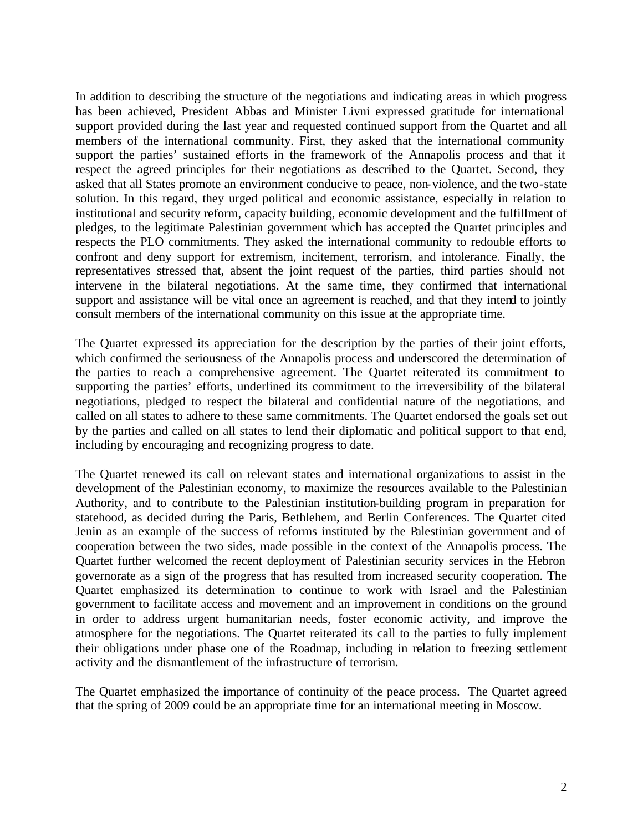In addition to describing the structure of the negotiations and indicating areas in which progress has been achieved, President Abbas and Minister Livni expressed gratitude for international support provided during the last year and requested continued support from the Quartet and all members of the international community. First, they asked that the international community support the parties' sustained efforts in the framework of the Annapolis process and that it respect the agreed principles for their negotiations as described to the Quartet. Second, they asked that all States promote an environment conducive to peace, non-violence, and the two-state solution. In this regard, they urged political and economic assistance, especially in relation to institutional and security reform, capacity building, economic development and the fulfillment of pledges, to the legitimate Palestinian government which has accepted the Quartet principles and respects the PLO commitments. They asked the international community to redouble efforts to confront and deny support for extremism, incitement, terrorism, and intolerance. Finally, the representatives stressed that, absent the joint request of the parties, third parties should not intervene in the bilateral negotiations. At the same time, they confirmed that international support and assistance will be vital once an agreement is reached, and that they intend to jointly consult members of the international community on this issue at the appropriate time.

The Quartet expressed its appreciation for the description by the parties of their joint efforts, which confirmed the seriousness of the Annapolis process and underscored the determination of the parties to reach a comprehensive agreement. The Quartet reiterated its commitment to supporting the parties' efforts, underlined its commitment to the irreversibility of the bilateral negotiations, pledged to respect the bilateral and confidential nature of the negotiations, and called on all states to adhere to these same commitments. The Quartet endorsed the goals set out by the parties and called on all states to lend their diplomatic and political support to that end, including by encouraging and recognizing progress to date.

The Quartet renewed its call on relevant states and international organizations to assist in the development of the Palestinian economy, to maximize the resources available to the Palestinian Authority, and to contribute to the Palestinian institution-building program in preparation for statehood, as decided during the Paris, Bethlehem, and Berlin Conferences. The Quartet cited Jenin as an example of the success of reforms instituted by the Palestinian government and of cooperation between the two sides, made possible in the context of the Annapolis process. The Quartet further welcomed the recent deployment of Palestinian security services in the Hebron governorate as a sign of the progress that has resulted from increased security cooperation. The Quartet emphasized its determination to continue to work with Israel and the Palestinian government to facilitate access and movement and an improvement in conditions on the ground in order to address urgent humanitarian needs, foster economic activity, and improve the atmosphere for the negotiations. The Quartet reiterated its call to the parties to fully implement their obligations under phase one of the Roadmap, including in relation to freezing settlement activity and the dismantlement of the infrastructure of terrorism.

The Quartet emphasized the importance of continuity of the peace process. The Quartet agreed that the spring of 2009 could be an appropriate time for an international meeting in Moscow.